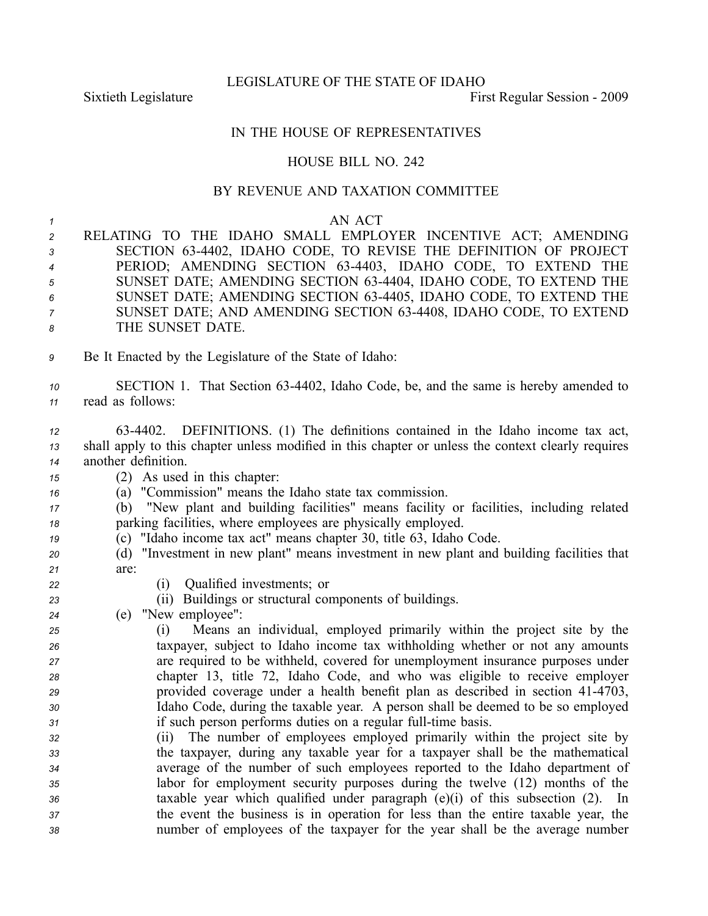LEGISLATURE OF THE STATE OF IDAHO

Sixtieth Legislature First Regular Session - 2009

## IN THE HOUSE OF REPRESENTATIVES

## HOUSE BILL NO. 242

## BY REVENUE AND TAXATION COMMITTEE

## *1* AN ACT *<sup>2</sup>* RELATING TO THE IDAHO SMALL EMPLOYER INCENTIVE ACT; AMENDING *<sup>3</sup>* SECTION 634402, IDAHO CODE, TO REVISE THE DEFINITION OF PROJECT *<sup>4</sup>* PERIOD; AMENDING SECTION 634403, IDAHO CODE, TO EXTEND THE *<sup>5</sup>* SUNSET DATE; AMENDING SECTION 634404, IDAHO CODE, TO EXTEND THE *<sup>6</sup>* SUNSET DATE; AMENDING SECTION 634405, IDAHO CODE, TO EXTEND THE *<sup>7</sup>* SUNSET DATE; AND AMENDING SECTION 634408, IDAHO CODE, TO EXTEND *8* THE SUNSET DATE. *<sup>9</sup>* Be It Enacted by the Legislature of the State of Idaho: *<sup>10</sup>* SECTION 1. That Section 634402, Idaho Code, be, and the same is hereby amended to *<sup>11</sup>* read as follows: *<sup>12</sup>* 634402. DEFINITIONS. (1) The definitions contained in the Idaho income tax act, *<sup>13</sup>* shall apply to this chapter unless modified in this chapter or unless the context clearly requires *<sup>14</sup>* another definition. *<sup>15</sup>* (2) As used in this chapter: *<sup>16</sup>* (a) "Commission" means the Idaho state tax commission. *<sup>17</sup>* (b) "New plant and building facilities" means facility or facilities, including related *<sup>18</sup>* parking facilities, where employees are physically employed. *<sup>19</sup>* (c) "Idaho income tax act" means chapter 30, title 63, Idaho Code. *<sup>20</sup>* (d) "Investment in new plant" means investment in new plant and building facilities that *21* are: *<sup>22</sup>* (i) Qualified investments; or *<sup>23</sup>* (ii) Buildings or structural components of buildings. *<sup>24</sup>* (e) "New employee": *<sup>25</sup>* (i) Means an individual, employed primarily within the project site by the *<sup>26</sup>* taxpayer, subject to Idaho income tax withholding whether or not any amounts *<sup>27</sup>* are required to be withheld, covered for unemployment insurance purposes under *<sup>28</sup>* chapter 13, title 72, Idaho Code, and who was eligible to receive employer <sup>29</sup> provided coverage under a health benefit plan as described in section 41-4703, *<sup>30</sup>* Idaho Code, during the taxable year. A person shall be deemed to be so employed *31* if such person performs duties on a regular full-time basis. *<sup>32</sup>* (ii) The number of employees employed primarily within the project site by *<sup>33</sup>* the taxpayer, during any taxable year for <sup>a</sup> taxpayer shall be the mathematical *<sup>34</sup>* average of the number of such employees reported to the Idaho department of *<sup>35</sup>* labor for employment security purposes during the twelve (12) months of the *<sup>36</sup>* taxable year which qualified under paragraph (e)(i) of this subsection (2). In *<sup>37</sup>* the event the business is in operation for less than the entire taxable year, the *<sup>38</sup>* number of employees of the taxpayer for the year shall be the average number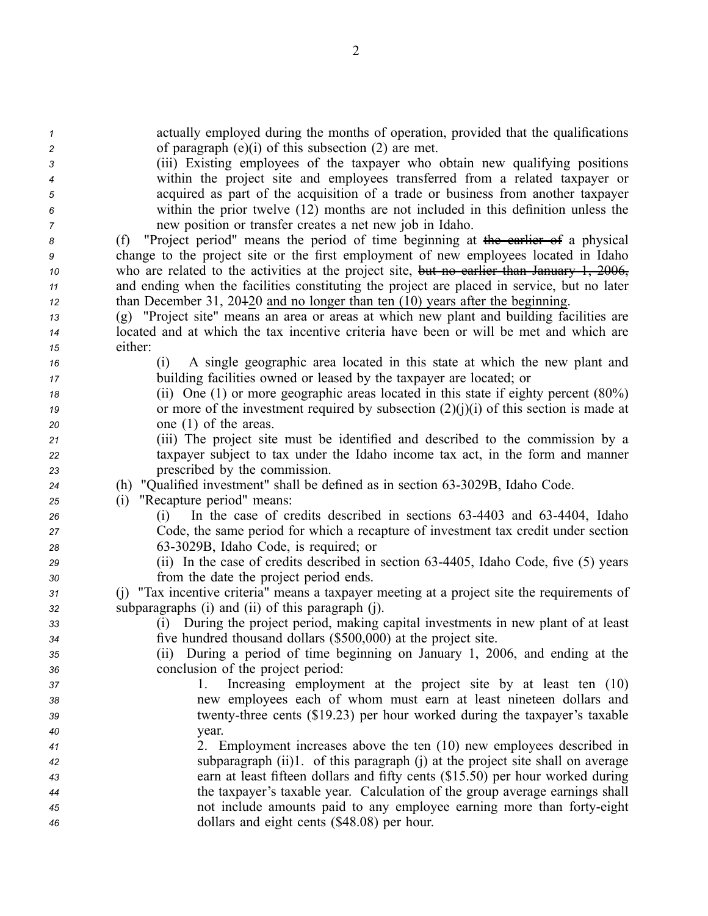| $\boldsymbol{\mathcal{1}}$ | actually employed during the months of operation, provided that the qualifications                                                                             |
|----------------------------|----------------------------------------------------------------------------------------------------------------------------------------------------------------|
| $\overline{c}$             | of paragraph $(e)(i)$ of this subsection $(2)$ are met.                                                                                                        |
| 3                          | (iii) Existing employees of the taxpayer who obtain new qualifying positions                                                                                   |
| 4                          | within the project site and employees transferred from a related taxpayer or                                                                                   |
| 5                          | acquired as part of the acquisition of a trade or business from another taxpayer                                                                               |
| 6                          | within the prior twelve (12) months are not included in this definition unless the                                                                             |
| 7                          | new position or transfer creates a net new job in Idaho.                                                                                                       |
| 8                          | "Project period" means the period of time beginning at the earlier of a physical<br>(f)                                                                        |
| 9                          | change to the project site or the first employment of new employees located in Idaho                                                                           |
| 10                         | who are related to the activities at the project site, but no earlier than January 1, 2006,                                                                    |
| 11                         | and ending when the facilities constituting the project are placed in service, but no later                                                                    |
| 12                         | than December 31, $20\frac{120}{20}$ and no longer than ten (10) years after the beginning.                                                                    |
| 13                         | (g) "Project site" means an area or areas at which new plant and building facilities are                                                                       |
| 14                         | located and at which the tax incentive criteria have been or will be met and which are                                                                         |
| 15                         | either:                                                                                                                                                        |
| 16                         | A single geographic area located in this state at which the new plant and<br>(1)                                                                               |
| 17                         | building facilities owned or leased by the taxpayer are located; or                                                                                            |
| 18                         | (ii) One (1) or more geographic areas located in this state if eighty percent $(80\%)$                                                                         |
| 19                         | or more of the investment required by subsection $(2)(j)(i)$ of this section is made at                                                                        |
| 20                         | one $(1)$ of the areas.                                                                                                                                        |
| 21                         | (iii) The project site must be identified and described to the commission by a                                                                                 |
| 22                         | taxpayer subject to tax under the Idaho income tax act, in the form and manner                                                                                 |
| 23                         | prescribed by the commission.                                                                                                                                  |
| 24                         | (h) "Qualified investment" shall be defined as in section 63-3029B, Idaho Code.                                                                                |
| 25                         | "Recapture period" means:<br>(i)                                                                                                                               |
| 26                         | In the case of credits described in sections 63-4403 and 63-4404, Idaho<br>(1)                                                                                 |
| 27                         | Code, the same period for which a recapture of investment tax credit under section                                                                             |
| 28                         | 63-3029B, Idaho Code, is required; or                                                                                                                          |
| 29                         | (ii) In the case of credits described in section 63-4405, Idaho Code, five (5) years                                                                           |
| 30                         | from the date the project period ends.                                                                                                                         |
| 31                         | (j) "Tax incentive criteria" means a taxpayer meeting at a project site the requirements of                                                                    |
| 32                         | subparagraphs (i) and (ii) of this paragraph (j).                                                                                                              |
| 33                         | (i) During the project period, making capital investments in new plant of at least                                                                             |
| 34                         | five hundred thousand dollars (\$500,000) at the project site.                                                                                                 |
| 35                         | (ii) During a period of time beginning on January 1, 2006, and ending at the                                                                                   |
| 36                         | conclusion of the project period:                                                                                                                              |
| 37                         | Increasing employment at the project site by at least ten (10)<br>1.                                                                                           |
| 38                         | new employees each of whom must earn at least nineteen dollars and                                                                                             |
| 39                         | twenty-three cents (\$19.23) per hour worked during the taxpayer's taxable                                                                                     |
| 40                         | year.<br>2. Employment increases above the ten (10) new employees described in                                                                                 |
| 41                         |                                                                                                                                                                |
| 42                         | subparagraph (ii)1. of this paragraph (j) at the project site shall on average                                                                                 |
| 43                         | earn at least fifteen dollars and fifty cents (\$15.50) per hour worked during<br>the taxpayer's taxable year. Calculation of the group average earnings shall |
| 44                         | not include amounts paid to any employee earning more than forty-eight                                                                                         |
| 45                         |                                                                                                                                                                |
| 46                         | dollars and eight cents (\$48.08) per hour.                                                                                                                    |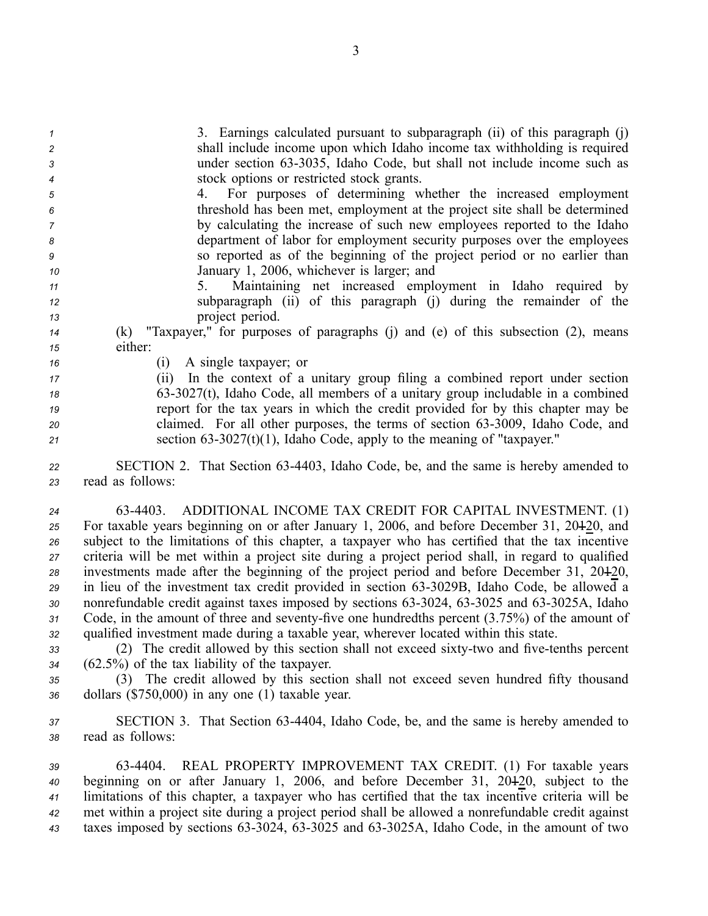3. Earnings calculated pursuan<sup>t</sup> to subparagraph (ii) of this paragraph (j) shall include income upon which Idaho income tax withholding is required 3 under section 63-3035, Idaho Code, but shall not include income such as stock options or restricted stock grants.

 4. For purposes of determining whether the increased employment threshold has been met, employment at the project site shall be determined by calculating the increase of such new employees reported to the Idaho department of labor for employment security purposes over the employees so reported as of the beginning of the project period or no earlier than January 1, 2006, whichever is larger; and

*<sup>11</sup>* 5. Maintaining net increased employment in Idaho required by *<sup>12</sup>* subparagraph (ii) of this paragraph (j) during the remainder of the *<sup>13</sup>* project period.

*<sup>14</sup>* (k) "Taxpayer," for purposes of paragraphs (j) and (e) of this subsection (2), means *<sup>15</sup>* either:

*<sup>16</sup>* (i) A single taxpayer; or

 (ii) In the context of <sup>a</sup> unitary group filing <sup>a</sup> combined repor<sup>t</sup> under section 633027(t), Idaho Code, all members of <sup>a</sup> unitary group includable in <sup>a</sup> combined repor<sup>t</sup> for the tax years in which the credit provided for by this chapter may be claimed. For all other purposes, the terms of section 633009, Idaho Code, and section  $63-3027(t)(1)$ , Idaho Code, apply to the meaning of "taxpayer."

*<sup>22</sup>* SECTION 2. That Section 634403, Idaho Code, be, and the same is hereby amended to *<sup>23</sup>* read as follows:

 634403. ADDITIONAL INCOME TAX CREDIT FOR CAPITAL INVESTMENT. (1) For taxable years beginning on or after January 1, 2006, and before December 31, 20120, and subject to the limitations of this chapter, <sup>a</sup> taxpayer who has certified that the tax incentive criteria will be met within <sup>a</sup> project site during <sup>a</sup> project period shall, in regard to qualified investments made after the beginning of the project period and before December 31, 20120, in lieu of the investment tax credit provided in section 633029B, Idaho Code, be allowed <sup>a</sup> 30 nonrefundable credit against taxes imposed by sections 63-3024, 63-3025 and 63-3025A, Idaho 31 Code, in the amount of three and seventy-five one hundredths percent (3.75%) of the amount of qualified investment made during <sup>a</sup> taxable year, wherever located within this state.

33 (2) The credit allowed by this section shall not exceed sixty-two and five-tenths percent *<sup>34</sup>* (62.5%) of the tax liability of the taxpayer.

*<sup>35</sup>* (3) The credit allowed by this section shall not exceed seven hundred fifty thousand *<sup>36</sup>* dollars (\$750,000) in any one (1) taxable year.

*<sup>37</sup>* SECTION 3. That Section 634404, Idaho Code, be, and the same is hereby amended to *<sup>38</sup>* read as follows:

 634404. REAL PROPERTY IMPROVEMENT TAX CREDIT. (1) For taxable years beginning on or after January 1, 2006, and before December 31, 20120, subject to the limitations of this chapter, <sup>a</sup> taxpayer who has certified that the tax incentive criteria will be met within <sup>a</sup> project site during <sup>a</sup> project period shall be allowed <sup>a</sup> nonrefundable credit against 43 taxes imposed by sections 63-3024, 63-3025 and 63-3025A, Idaho Code, in the amount of two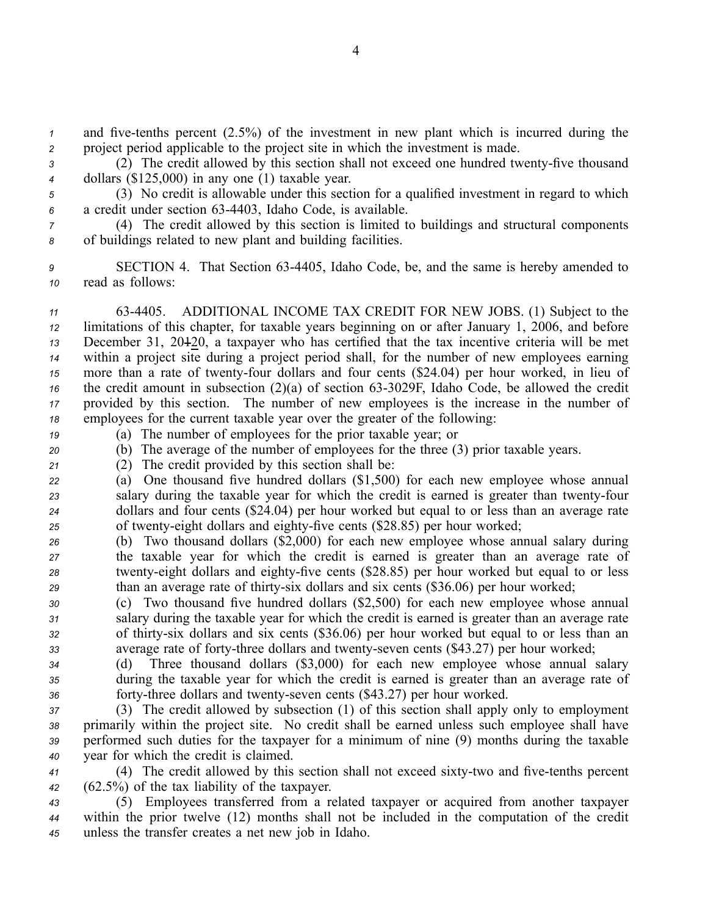*1* and five-tenths percent (2.5%) of the investment in new plant which is incurred during the *<sup>2</sup>* project period applicable to the project site in which the investment is made.

3 (2) The credit allowed by this section shall not exceed one hundred twenty-five thousand *<sup>4</sup>* dollars (\$125,000) in any one (1) taxable year.

*<sup>5</sup>* (3) No credit is allowable under this section for <sup>a</sup> qualified investment in regard to which *<sup>6</sup>* <sup>a</sup> credit under section 634403, Idaho Code, is available.

*<sup>7</sup>* (4) The credit allowed by this section is limited to buildings and structural components *<sup>8</sup>* of buildings related to new plant and building facilities.

*<sup>9</sup>* SECTION 4. That Section 634405, Idaho Code, be, and the same is hereby amended to *<sup>10</sup>* read as follows:

 634405. ADDITIONAL INCOME TAX CREDIT FOR NEW JOBS. (1) Subject to the limitations of this chapter, for taxable years beginning on or after January 1, 2006, and before December 31, 20120, <sup>a</sup> taxpayer who has certified that the tax incentive criteria will be met within <sup>a</sup> project site during <sup>a</sup> project period shall, for the number of new employees earning 15 more than a rate of twenty-four dollars and four cents (\$24.04) per hour worked, in lieu of the credit amount in subsection  $(2)(a)$  of section 63-3029F, Idaho Code, be allowed the credit provided by this section. The number of new employees is the increase in the number of employees for the current taxable year over the greater of the following:

*<sup>19</sup>* (a) The number of employees for the prior taxable year; or *<sup>20</sup>* (b) The average of the number of employees for the three (3) prior taxable years.

*<sup>21</sup>* (2) The credit provided by this section shall be:

*<sup>22</sup>* (a) One thousand five hundred dollars (\$1,500) for each new employee whose annual 23 salary during the taxable year for which the credit is earned is greater than twenty-four *<sup>24</sup>* dollars and four cents (\$24.04) per hour worked but equal to or less than an average rate 25 of twenty-eight dollars and eighty-five cents (\$28.85) per hour worked;

*<sup>26</sup>* (b) Two thousand dollars (\$2,000) for each new employee whose annual salary during *<sup>27</sup>* the taxable year for which the credit is earned is greater than an average rate of <sup>28</sup> twenty-eight dollars and eighty-five cents (\$28.85) per hour worked but equal to or less 29 than an average rate of thirty-six dollars and six cents (\$36.06) per hour worked;

*<sup>30</sup>* (c) Two thousand five hundred dollars (\$2,500) for each new employee whose annual *<sup>31</sup>* salary during the taxable year for which the credit is earned is greater than an average rate 32 of thirty-six dollars and six cents (\$36.06) per hour worked but equal to or less than an 33 average rate of forty-three dollars and twenty-seven cents (\$43.27) per hour worked;

*<sup>34</sup>* (d) Three thousand dollars (\$3,000) for each new employee whose annual salary *<sup>35</sup>* during the taxable year for which the credit is earned is greater than an average rate of 36 **forty-three dollars and twenty-seven cents (\$43.27)** per hour worked.

 (3) The credit allowed by subsection (1) of this section shall apply only to employment primarily within the project site. No credit shall be earned unless such employee shall have performed such duties for the taxpayer for <sup>a</sup> minimum of nine (9) months during the taxable year for which the credit is claimed.

41 (4) The credit allowed by this section shall not exceed sixty-two and five-tenths percent *<sup>42</sup>* (62.5%) of the tax liability of the taxpayer.

*<sup>43</sup>* (5) Employees transferred from <sup>a</sup> related taxpayer or acquired from another taxpayer *<sup>44</sup>* within the prior twelve (12) months shall not be included in the computation of the credit *<sup>45</sup>* unless the transfer creates <sup>a</sup> net new job in Idaho.